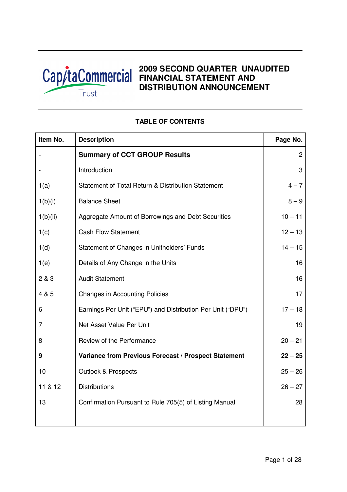

# **2009 SECOND QUARTER UNAUDITED FINANCIAL STATEMENT AND DISTRIBUTION ANNOUNCEMENT**

| Item No. | <b>Description</b>                                          | Page No.       |
|----------|-------------------------------------------------------------|----------------|
|          | <b>Summary of CCT GROUP Results</b>                         | $\overline{c}$ |
|          | Introduction                                                | 3              |
| 1(a)     | Statement of Total Return & Distribution Statement          | $4 - 7$        |
| 1(b)(i)  | <b>Balance Sheet</b>                                        | $8 - 9$        |
| 1(b)(ii) | Aggregate Amount of Borrowings and Debt Securities          | $10 - 11$      |
| 1(c)     | <b>Cash Flow Statement</b>                                  | $12 - 13$      |
| 1(d)     | Statement of Changes in Unitholders' Funds                  | $14 - 15$      |
| 1(e)     | Details of Any Change in the Units                          | 16             |
| 2 & 3    | <b>Audit Statement</b>                                      | 16             |
| 4 & 5    | <b>Changes in Accounting Policies</b>                       | 17             |
| 6        | Earnings Per Unit ("EPU") and Distribution Per Unit ("DPU") | $17 - 18$      |
| 7        | Net Asset Value Per Unit                                    | 19             |
| 8        | Review of the Performance                                   | $20 - 21$      |
| 9        | Variance from Previous Forecast / Prospect Statement        | $22 - 25$      |
| 10       | <b>Outlook &amp; Prospects</b>                              | $25 - 26$      |
| 11 & 12  | <b>Distributions</b>                                        | $26 - 27$      |
| 13       | Confirmation Pursuant to Rule 705(5) of Listing Manual      | 28             |
|          |                                                             |                |

# **TABLE OF CONTENTS**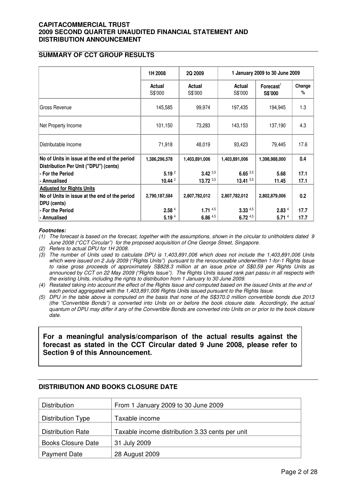# **SUMMARY OF CCT GROUP RESULTS**

|                                               | 1H 2008           | 2Q 2009           | 1 January 2009 to 30 June 2009 |                                  |             |  |
|-----------------------------------------------|-------------------|-------------------|--------------------------------|----------------------------------|-------------|--|
|                                               | Actual<br>S\$'000 | Actual<br>S\$'000 | Actual<br>S\$'000              | $\mathsf{Forecast}^1$<br>S\$'000 | Change<br>% |  |
| Gross Revenue                                 | 145,585           | 99,974            | 197,435                        | 194,945                          | 1.3         |  |
| Net Property Income                           | 101,150           | 73,283            | 143,153                        | 137,190                          | 4.3         |  |
| Distributable Income                          | 71,918            | 48,019            | 93,423                         | 79,445                           | 17.6        |  |
| No of Units in issue at the end of the period | 1,386,296,578     | 1,403,891,006     | 1,403,891,006                  | 1,398,988,000                    | 0.4         |  |
| Distribution Per Unit ("DPU") (cents)         |                   |                   |                                |                                  |             |  |
| - For the Period                              | 5.19 <sup>2</sup> | $3.42^{3,5}$      | $6.65\,3.5$                    | 5.68                             | 17.1        |  |
| - Annualised                                  | 10.44 $2$         | $13.72^{3,5}$     | 13.41 $3,5$                    | 11.45                            | 17.1        |  |
| <b>Adjusted for Rights Units</b>              |                   |                   |                                |                                  |             |  |
| No of Units in issue at the end of the period | 2,790,187,584     | 2,807,782,012     | 2,807,782,012                  | 2,802,879,006                    | 0.2         |  |
| <b>DPU</b> (cents)                            |                   |                   |                                |                                  |             |  |
| - For the Period                              | 2.58 <sup>4</sup> | 1.71 $4,5$        | $3.33^{4,5}$                   | 2.83 <sup>4</sup>                | 17.7        |  |
| l- Annualised                                 | 5.19 <sup>4</sup> | $6.86$ $4.5$      | $6.72^{4,5}$                   | 5.71 <sup>4</sup>                | 17.7        |  |

#### **Footnotes:**

(1) The forecast is based on the forecast, together with the assumptions, shown in the circular to unitholders dated 9 June 2008 ("CCT Circular") for the proposed acquisition of One George Street, Singapore.

(2) Refers to actual DPU for 1H 2008.

(3) The number of Units used to calculate DPU is 1,403,891,006 which does not include the 1,403,891,006 Units which were issued on 2 July 2009 ("Rights Units") pursuant to the renounceable underwritten 1-for-1 Rights Issue to raise gross proceeds of approximately S\$828.3 million at an issue price of S\$0.59 per Rights Units as announced by CCT on 22 May 2009 ("Rights Issue"). The Rights Units issued rank pari passu in all respects with the existing Units, including the rights to distribution from 1 January to 30 June 2009.

(4) Restated taking into account the effect of the Rights Issue and computed based on the issued Units at the end of each period aggregated with the 1,403,891,006 Rights Units issued pursuant to the Rights Issue.

(5) DPU in the table above is computed on the basis that none of the S\$370.0 million convertible bonds due 2013 (the "Convertible Bonds") is converted into Units on or before the book closure date. Accordingly, the actual quantum of DPU may differ if any of the Convertible Bonds are converted into Units on or prior to the book closure date.

**For a meaningful analysis/comparison of the actual results against the forecast as stated in the CCT Circular dated 9 June 2008, please refer to Section 9 of this Announcement.** 

### **DISTRIBUTION AND BOOKS CLOSURE DATE**

| Distribution              | From 1 January 2009 to 30 June 2009             |
|---------------------------|-------------------------------------------------|
| <b>Distribution Type</b>  | Taxable income                                  |
| <b>Distribution Rate</b>  | Taxable income distribution 3.33 cents per unit |
| <b>Books Closure Date</b> | 31 July 2009                                    |
| <b>Payment Date</b>       | 28 August 2009                                  |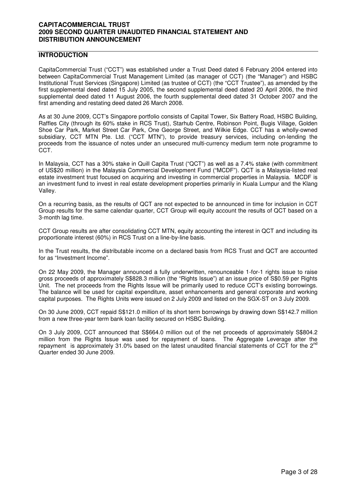# **INTRODUCTION**

CapitaCommercial Trust ("CCT") was established under a Trust Deed dated 6 February 2004 entered into between CapitaCommercial Trust Management Limited (as manager of CCT) (the "Manager") and HSBC Institutional Trust Services (Singapore) Limited (as trustee of CCT) (the "CCT Trustee"), as amended by the first supplemental deed dated 15 July 2005, the second supplemental deed dated 20 April 2006, the third supplemental deed dated 11 August 2006, the fourth supplemental deed dated 31 October 2007 and the first amending and restating deed dated 26 March 2008.

As at 30 June 2009, CCT's Singapore portfolio consists of Capital Tower, Six Battery Road, HSBC Building, Raffles City (through its 60% stake in RCS Trust), Starhub Centre, Robinson Point, Bugis Village, Golden Shoe Car Park, Market Street Car Park, One George Street, and Wilkie Edge. CCT has a wholly-owned subsidiary, CCT MTN Pte. Ltd. ("CCT MTN"), to provide treasury services, including on-lending the proceeds from the issuance of notes under an unsecured multi-currency medium term note programme to CCT.

In Malaysia, CCT has a 30% stake in Quill Capita Trust ("QCT") as well as a 7.4% stake (with commitment of US\$20 million) in the Malaysia Commercial Development Fund ("MCDF"). QCT is a Malaysia-listed real estate investment trust focused on acquiring and investing in commercial properties in Malaysia. MCDF is an investment fund to invest in real estate development properties primarily in Kuala Lumpur and the Klang Valley.

On a recurring basis, as the results of QCT are not expected to be announced in time for inclusion in CCT Group results for the same calendar quarter, CCT Group will equity account the results of QCT based on a 3-month lag time.

CCT Group results are after consolidating CCT MTN, equity accounting the interest in QCT and including its proportionate interest (60%) in RCS Trust on a line-by-line basis.

In the Trust results, the distributable income on a declared basis from RCS Trust and QCT are accounted for as "Investment Income".

On 22 May 2009, the Manager announced a fully underwritten, renounceable 1-for-1 rights issue to raise gross proceeds of approximately S\$828.3 million (the "Rights Issue") at an issue price of S\$0.59 per Rights Unit. The net proceeds from the Rights Issue will be primarily used to reduce CCT's existing borrowings. The balance will be used for capital expenditure, asset enhancements and general corporate and working capital purposes. The Rights Units were issued on 2 July 2009 and listed on the SGX-ST on 3 July 2009.

On 30 June 2009, CCT repaid S\$121.0 million of its short term borrowings by drawing down S\$142.7 million from a new three-year term bank loan facility secured on HSBC Building.

On 3 July 2009, CCT announced that S\$664.0 million out of the net proceeds of approximately S\$804.2 million from the Rights Issue was used for repayment of loans. The Aggregate Leverage after the repayment is approximately 31.0% based on the latest unaudited financial statements of CCT for the  $2^{nd}$ Quarter ended 30 June 2009.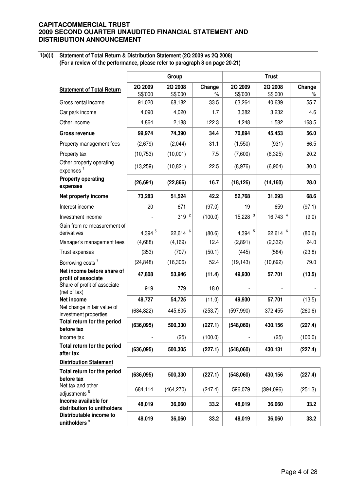**1(a)(i)** 

**Statement of Total Return & Distribution Statement (2Q 2009 vs 2Q 2008) (For a review of the performance, please refer to paragraph 8 on page 20-21)**

|                                                      | Group              |                          |                | <b>Trust</b>          |                    |                |  |
|------------------------------------------------------|--------------------|--------------------------|----------------|-----------------------|--------------------|----------------|--|
| <b>Statement of Total Return</b>                     | 2Q 2009<br>S\$'000 | 2Q 2008<br>S\$'000       | Change<br>$\%$ | 2Q 2009<br>S\$'000    | 2Q 2008<br>S\$'000 | Change<br>$\%$ |  |
| Gross rental income                                  | 91,020             | 68,182                   | 33.5           | 63,264                | 40,639             | 55.7           |  |
| Car park income                                      | 4,090              | 4,020                    | 1.7            | 3,382                 | 3,232              | 4.6            |  |
| Other income                                         | 4,864              | 2,188                    | 122.3          | 4,248                 | 1,582              | 168.5          |  |
| Gross revenue                                        | 99,974             | 74,390                   | 34.4           | 70,894                | 45,453             | 56.0           |  |
| Property management fees                             | (2,679)            | (2,044)                  | 31.1           | (1,550)               | (931)              | 66.5           |  |
| Property tax                                         | (10, 753)          | (10,001)                 | 7.5            | (7,600)               | (6, 325)           | 20.2           |  |
| Other property operating<br>expenses <sup>1</sup>    | (13, 259)          | (10, 821)                | 22.5           | (8,976)               | (6,904)            | 30.0           |  |
| <b>Property operating</b><br>expenses                | (26, 691)          | (22, 866)                | 16.7           | (18, 126)             | (14, 160)          | 28.0           |  |
| Net property income                                  | 73,283             | 51,524                   | 42.2           | 52,768                | 31,293             | 68.6           |  |
| Interest income                                      | 20                 | 671                      | (97.0)         | 19                    | 659                | (97.1)         |  |
| Investment income                                    |                    | $319^{2}$                | (100.0)        | $15,228$ <sup>3</sup> | 16,743 4           | (9.0)          |  |
| Gain from re-measurement of<br>derivatives           | 4,394 $5$          | $6\phantom{a}$<br>22,614 | (80.6)         | 4,394 $5$             | 6<br>22,614        | (80.6)         |  |
| Manager's management fees                            | (4,688)            | (4, 169)                 | 12.4           | (2,891)               | (2, 332)           | 24.0           |  |
| Trust expenses                                       | (353)              | (707)                    | (50.1)         | (445)                 | (584)              | (23.8)         |  |
| Borrowing costs <sup>7</sup>                         | (24, 848)          | (16, 306)                | 52.4           | (19, 143)             | (10,692)           | 79.0           |  |
| Net income before share of<br>profit of associate    | 47,808             | 53,946                   | (11.4)         | 49,930                | 57,701             | (13.5)         |  |
| Share of profit of associate<br>(net of tax)         | 919                | 779                      | 18.0           |                       |                    |                |  |
| Net income                                           | 48,727             | 54,725                   | (11.0)         | 49,930                | 57,701             | (13.5)         |  |
| Net change in fair value of<br>investment properties | (684, 822)         | 445,605                  | (253.7)        | (597, 990)            | 372,455            | (260.6)        |  |
| Total return for the period<br>before tax            | (636,095)          | 500,330                  | (227.1)        | (548,060)             | 430,156            | (227.4)        |  |
| Income tax                                           |                    | (25)                     | (100.0)        |                       | (25)               | (100.0)        |  |
| Total return for the period<br>after tax             | (636,095)          | 500,305                  | (227.1)        | (548,060)             | 430,131            | (227.4)        |  |
| <b>Distribution Statement</b>                        |                    |                          |                |                       |                    |                |  |
| Total return for the period<br>before tax            | (636,095)          | 500,330                  | (227.1)        | (548,060)             | 430,156            | (227.4)        |  |
| Net tax and other<br>adjustments <sup>8</sup>        | 684,114            | (464, 270)               | (247.4)        | 596,079               | (394,096)          | (251.3)        |  |
| Income available for<br>distribution to unitholders  | 48,019             | 36,060                   | 33.2           | 48,019                | 36,060             | 33.2           |  |
| Distributable income to<br>unitholders <sup>9</sup>  | 48,019             | 36,060                   | 33.2           | 48,019                | 36,060             | 33.2           |  |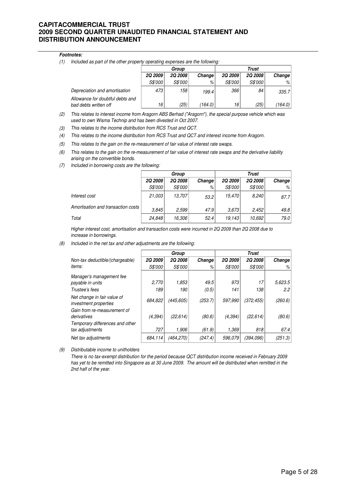#### **Footnotes:**

(1) Included as part of the other property operating expenses are the following:

|                                                           | Group   |         |         | Trust          |         |         |
|-----------------------------------------------------------|---------|---------|---------|----------------|---------|---------|
|                                                           | 2Q 2009 | 2Q 2008 | Change  | 2Q 2009        | 2Q 2008 | Change  |
|                                                           | S\$'000 | S\$'000 | %       | <i>S\$'000</i> | S\$'000 | %       |
| Depreciation and amortisation                             | 473     | 158     | 199.4   | 366            | 84      | 335.7   |
| Allowance for doubtful debts and<br>bad debts written off | 16      | (25)    | (164.0) | 16             | (25)    | (164.0) |

- (2) This relates to interest income from Aragorn ABS Berhad ("Aragorn"), the special purpose vehicle which was used to own Wisma Technip and has been divested in Oct 2007.
- (3) This relates to the income distribution from RCS Trust and QCT.
- (4) This relates to the income distribution from RCS Trust and QCT and interest income from Aragorn.
- (5) This relates to the gain on the re-measurement of fair value of interest rate swaps.
- (6) This relates to the gain on the re-measurement of fair value of interest rate swaps and the derivative liability arising on the convertible bonds.
- (7) Included in borrowing costs are the following:

|                                      |                | Group   |        | <b>Trust</b>   |                |        |
|--------------------------------------|----------------|---------|--------|----------------|----------------|--------|
|                                      | <b>2Q 2009</b> | 2Q 2008 | Change | <b>2Q 2009</b> | <b>2Q 2008</b> | Change |
|                                      | <i>S\$'000</i> | S\$'000 | %      | <i>S\$'000</i> | S\$'000        | %      |
| Interest cost                        | 21.003         | 13.707  | 53.2   | 15.470         | 8,240          | 87.7   |
| Amortisation and transaction costs \ | 3.845          | 2.599   | 47.9   | 3.673          | 2.452          | 49.8   |
| Total                                | 24.848         | 16.306  | 52.4   | 19.143         | 10.692         | 79.0   |

Higher interest cost, amortisation and transaction costs were incurred in 2Q 2009 than 2Q 2008 due to increase in borrowings.

(8) Included in the net tax and other adjustments are the following:

|                                                                               |                | Group          |         |                | <b>Trust</b>   |             |
|-------------------------------------------------------------------------------|----------------|----------------|---------|----------------|----------------|-------------|
| Non-tax deductible/(chargeable)                                               | <b>2Q 2009</b> | <b>2Q 2008</b> | Change  | <b>2Q 2009</b> | <b>2Q 2008</b> | Change      |
| <i>items:</i>                                                                 | <i>S\$'000</i> | S\$'000        | %       | <i>S\$'000</i> | S\$'000        | %           |
| Manager's management fee                                                      |                |                |         |                |                |             |
| payable in units                                                              | 2,770          | 1,853          | 49.5    | 973            | 17             | 5,623.5     |
| Trustee's fees                                                                | 189            | 190            | (0.5)   | 141            | 138            | 2.2         |
| Net change in fair value of<br>investment properties                          | 684.822        | (445, 605)     | (253.7) | 597.990        | (372, 455)     | (260.6)     |
| Gain from re-measurement of<br>derivatives<br>Temporary differences and other | (4, 394)       | (22, 614)      | (80.6)  | (4, 394)       | (22, 614)      | (80.6)      |
| tax adjustments                                                               | 727            | 1,906          | (61.9)  | 1,369          | 818            | 67.4        |
| Net tax adjustments                                                           | 684,114        | (464, 270)     | (247.4) | 596.079        | (394.096)      | (251.3) $ $ |

(9) Distributable income to unitholders

There is no tax-exempt distribution for the period because QCT distribution income received in February 2009 has yet to be remitted into Singapore as at 30 June 2009. The amount will be distributed when remitted in the 2nd half of the year.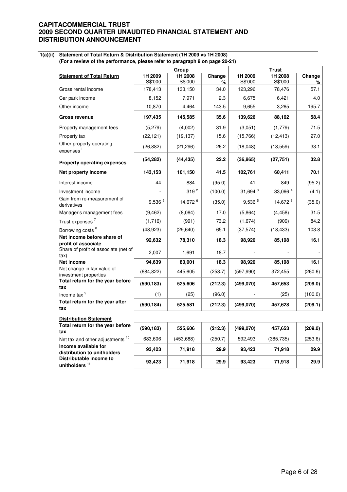#### **1(a)(ii) Statement of Total Return & Distribution Statement (1H 2009 vs 1H 2008)**

**(For a review of the performance, please refer to paragraph 8 on page 20-21)**

|                                                      |                    | Group              |             | <b>Trust</b>        |                    |             |  |
|------------------------------------------------------|--------------------|--------------------|-------------|---------------------|--------------------|-------------|--|
| <b>Statement of Total Return</b>                     | 1H 2009<br>S\$'000 | 1H 2008<br>S\$'000 | Change<br>% | 1H 2009<br>S\$'000  | 1H 2008<br>S\$'000 | Change<br>% |  |
| Gross rental income                                  | 178,413            | 133,150            | 34.0        | 123,296             | 78,476             | 57.1        |  |
| Car park income                                      | 8,152              | 7,971              | 2.3         | 6,675               | 6,421              | 4.0         |  |
| Other income                                         | 10,870             | 4,464              | 143.5       | 9,655               | 3,265              | 195.7       |  |
| Gross revenue                                        | 197,435            | 145,585            | 35.6        | 139,626             | 88,162             | 58.4        |  |
| Property management fees                             | (5,279)            | (4,002)            | 31.9        | (3,051)             | (1,779)            | 71.5        |  |
| Property tax                                         | (22, 121)          | (19, 137)          | 15.6        | (15,766)            | (12, 413)          | 27.0        |  |
| Other property operating<br>expenses <sup>1</sup>    | (26, 882)          | (21, 296)          | 26.2        | (18,048)            | (13, 559)          | 33.1        |  |
| <b>Property operating expenses</b>                   | (54, 282)          | (44, 435)          | 22.2        | (36, 865)           | (27, 751)          | 32.8        |  |
| Net property income                                  | 143,153            | 101,150            | 41.5        | 102,761             | 60,411             | 70.1        |  |
| Interest income                                      | 44                 | 884                | (95.0)      | 41                  | 849                | (95.2)      |  |
| Investment income                                    |                    | 319 <sup>2</sup>   | (100.0)     | 31,694 <sup>3</sup> | 33,066 4           | (4.1)       |  |
| Gain from re-measurement of<br>derivatives           | 9,536 5            | 14,672 6           | (35.0)      | 9,536 5             | 14,672 6           | (35.0)      |  |
| Manager's management fees                            | (9, 462)           | (8,084)            | 17.0        | (5,864)             | (4, 458)           | 31.5        |  |
| Trust expenses <sup>7</sup>                          | (1,716)            | (991)              | 73.2        | (1,674)             | (909)              | 84.2        |  |
| Borrowing costs <sup>8</sup>                         | (48, 923)          | (29, 640)          | 65.1        | (37, 574)           | (18, 433)          | 103.8       |  |
| Net income before share of<br>profit of associate    | 92,632             | 78,310             | 18.3        | 98,920              | 85,198             | 16.1        |  |
| Share of profit of associate (net of<br>tax)         | 2,007              | 1,691              | 18.7        |                     |                    |             |  |
| <b>Net income</b>                                    | 94,639             | 80,001             | 18.3        | 98,920              | 85,198             | 16.1        |  |
| Net change in fair value of<br>investment properties | (684, 822)         | 445,605            | (253.7)     | (597, 990)          | 372,455            | (260.6)     |  |
| Total return for the year before<br>tax              | (590, 183)         | 525,606            | (212.3)     | (499,070)           | 457,653            | (209.0)     |  |
| Income tax <sup>9</sup>                              | (1)                | (25)               | (96.0)      |                     | (25)               | (100.0)     |  |
| Total return for the year after<br>tax               | (590, 184)         | 525,581            | (212.3)     | (499,070)           | 457,628            | (209.1)     |  |
| <b>Distribution Statement</b>                        |                    |                    |             |                     |                    |             |  |
| Total return for the year before                     |                    |                    |             |                     |                    |             |  |

| <b>I VIAI TELUITI TUI THE VEAI DEIVIE</b>   |
|---------------------------------------------|
| tax                                         |
| Net tax and other adjustments <sup>10</sup> |
| Income available for                        |
| distribution to unitholders                 |
| Distributable income to                     |
| unitholders $11$                            |

| Total return for the year before<br>tax             | (590, 183) | 525,606   | (212.3) | (499,070) | 457,653    | (209.0) |
|-----------------------------------------------------|------------|-----------|---------|-----------|------------|---------|
| Net tax and other adjustments <sup>10</sup>         | 683,606    | (453,688) | (250.7) | 592.493   | (385, 735) | (253.6) |
| Income available for<br>distribution to unitholders | 93,423     | 71.918    | 29.9    | 93.423    | 71.918     | 29.9    |
| Distributable income to<br>unitholders $^{\rm 11}$  | 93,423     | 71.918    | 29.9    | 93.423    | 71.918     | 29.9    |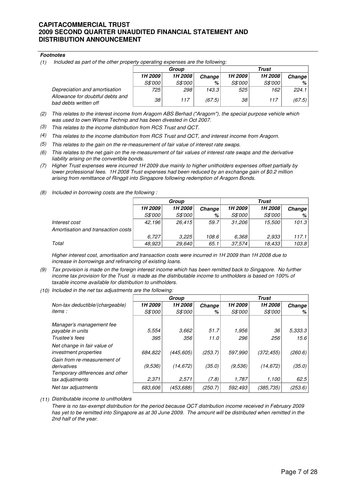#### **Footnotes**

(1) Included as part of the other property operating expenses are the following:

|                                                           | Group        |         |        | Trust   |                |        |
|-----------------------------------------------------------|--------------|---------|--------|---------|----------------|--------|
|                                                           | 1H 2009      | 1H 2008 | Change | 1H 2009 | 1H 2008        | Change |
|                                                           | S\$'000      | S\$'000 | %      | S\$'000 | <i>S\$'000</i> | %      |
| Depreciation and amortisation                             | 725          | 298     | 143.3  | 525     | 162            | 224.1  |
| Allowance for doubtful debts and<br>bad debts written off | $38^{\circ}$ | 117     | (67.5) | 38      | 117            | (67.5) |

- (2) This relates to the interest income from Aragorn ABS Berhad ("Aragorn"), the special purpose vehicle which was used to own Wisma Technip and has been divested in Oct 2007.
- (3) This relates to the income distribution from RCS Trust and QCT.
- (4) This relates to the income distribution from RCS Trust and QCT, and interest income from Aragorn.
- (5) This relates to the gain on the re-measurement of fair value of interest rate swaps.
- (6) This relates to the net gain on the re-measurement of fair values of interest rate swaps and the derivative liability arising on the convertible bonds.
- (7) Higher Trust expenses were incurred 1H 2009 due mainly to higher unitholders expenses offset partially by lower professional fees. 1H 2008 Trust expenses had been reduced by an exchange gain of \$0.2 million arising from remittance of Ringgit into Singapore following redemption of Aragorn Bonds.
- (8) Included in borrowing costs are the following :

|                                    | Group   |                |        | Trust   |         |        |  |
|------------------------------------|---------|----------------|--------|---------|---------|--------|--|
|                                    | 1H 2009 | 1H 2008        | Change | 1H 2009 | 1H 2008 | Change |  |
|                                    | S\$'000 | <i>S\$'000</i> | %      | S\$'000 | S\$'000 | %      |  |
| Interest cost                      | 42,196  | 26.415         | 59.7   | 31,206  | 15.500  | 101.3  |  |
| Amortisation and transaction costs |         |                |        |         |         |        |  |
|                                    | 6.727   | 3,225          | 108.6  | 6.368   | 2,933   | 117.1  |  |
| Total                              | 48,923  | 29,640         | 65.1   | 37,574  | 18,433  | 103.8  |  |

Higher interest cost, amortisation and transaction costs were incurred in 1H 2009 than 1H 2008 due to increase in borrowings and refinancing of existing loans.

- (9) Tax provision is made on the foreign interest income which has been remitted back to Singapore. No further income tax provision for the Trust is made as the distributable income to unitholders is based on 100% of taxable income available for distribution to unitholders.
- (10) Included in the net tax adjustments are the following:

|                                                                               | Group   |                |         |                |                |         |
|-------------------------------------------------------------------------------|---------|----------------|---------|----------------|----------------|---------|
| Non-tax deductible/(chargeable)                                               | 1H 2009 | 1H 2008        | Change  | 1H 2009        | 1H 2008        | Change  |
| <i>items :</i>                                                                | S\$'000 | <i>S\$'000</i> | %       | <i>S\$'000</i> | <i>S\$'000</i> | %       |
| Manager's management fee                                                      |         |                |         |                |                |         |
| payable in units                                                              | 5.554   | 3.662          | 51.7    | 1,956          | 36             | 5.333.3 |
| Trustee's fees                                                                | 395     | 356            | 11.0    | 296            | 256            | 15.6    |
| Net change in fair value of<br>investment properties                          | 684.822 | (445, 605)     | (253.7) | 597,990        | (372, 455)     | (260.6) |
| Gain from re-measurement of<br>derivatives<br>Temporary differences and other | (9,536) | (14,672)       | (35.0)  | (9,536)        | (14, 672)      | (35.0)  |
| tax adjustments                                                               | 2,371   | 2,571          | (7.8)   | 1,787          | 1,100          | 62.5    |
| Net tax adjustments                                                           | 683,606 | (453,688)      | (250.7) | 592,493        | (385, 735)     | (253.6) |

(11) Distributable income to unitholders

There is no tax-exempt distribution for the period because QCT distribution income received in February 2009 has yet to be remitted into Singapore as at 30 June 2009. The amount will be distributed when remitted in the 2nd half of the year.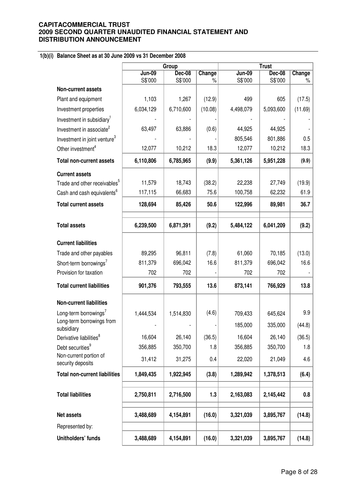# **1(b)(i) Balance Sheet as at 30 June 2009 vs 31 December 2008**

|                                             | Group         |               |         | <b>Trust</b>  |               |         |
|---------------------------------------------|---------------|---------------|---------|---------------|---------------|---------|
|                                             | <b>Jun-09</b> | <b>Dec-08</b> | Change  | <b>Jun-09</b> | <b>Dec-08</b> | Change  |
|                                             | S\$'000       | S\$'000       | $\%$    | S\$'000       | S\$'000       | %       |
| Non-current assets                          |               |               |         |               |               |         |
| Plant and equipment                         | 1,103         | 1,267         | (12.9)  | 499           | 605           | (17.5)  |
| Investment properties                       | 6,034,129     | 6,710,600     | (10.08) | 4,498,079     | 5,093,600     | (11.69) |
| Investment in subsidiary <sup>1</sup>       |               |               |         |               |               |         |
| Investment in associate <sup>2</sup>        | 63,497        | 63,886        | (0.6)   | 44,925        | 44,925        |         |
| Investment in joint venture <sup>3</sup>    |               |               |         | 805,546       | 801,886       | 0.5     |
| Other investment <sup>4</sup>               | 12,077        | 10,212        | 18.3    | 12,077        | 10,212        | 18.3    |
| <b>Total non-current assets</b>             | 6,110,806     | 6,785,965     | (9.9)   | 5,361,126     | 5,951,228     | (9.9)   |
| <b>Current assets</b>                       |               |               |         |               |               |         |
| Trade and other receivables <sup>5</sup>    | 11,579        | 18,743        | (38.2)  | 22,238        | 27,749        | (19.9)  |
| Cash and cash equivalents <sup>6</sup>      | 117,115       | 66,683        | 75.6    | 100,758       | 62,232        | 61.9    |
| <b>Total current assets</b>                 | 128,694       | 85,426        | 50.6    | 122,996       | 89,981        | 36.7    |
|                                             |               |               |         |               |               |         |
| <b>Total assets</b>                         | 6,239,500     | 6,871,391     | (9.2)   | 5,484,122     | 6,041,209     | (9.2)   |
| <b>Current liabilities</b>                  |               |               |         |               |               |         |
| Trade and other payables                    | 89,295        | 96,811        | (7.8)   | 61,060        | 70,185        | (13.0)  |
| Short-term borrowings <sup>7</sup>          | 811,379       | 696,042       | 16.6    | 811,379       | 696,042       | 16.6    |
| Provision for taxation                      | 702           | 702           |         | 702           | 702           |         |
| <b>Total current liabilities</b>            | 901,376       | 793,555       | 13.6    | 873,141       | 766,929       | 13.8    |
| <b>Non-current liabilities</b>              |               |               |         |               |               |         |
| Long-term borrowings <sup>7</sup>           | 1,444,534     | 1,514,830     | (4.6)   | 709,433       | 645,624       | 9.9     |
| Long-term borrowings from<br>subsidiary     |               |               |         | 185,000       | 335,000       | (44.8)  |
| Derivative liabilities <sup>8</sup>         | 16,604        | 26,140        | (36.5)  | 16,604        | 26,140        | (36.5)  |
| Debt securities <sup>9</sup>                | 356,885       | 350,700       | 1.8     | 356,885       | 350,700       | 1.8     |
| Non-current portion of<br>security deposits | 31,412        | 31,275        | 0.4     | 22,020        | 21,049        | 4.6     |
| <b>Total non-current liabilities</b>        | 1,849,435     | 1,922,945     | (3.8)   | 1,289,942     | 1,378,513     | (6.4)   |
|                                             |               |               |         |               |               |         |
| <b>Total liabilities</b>                    | 2,750,811     | 2,716,500     | 1.3     | 2,163,083     | 2,145,442     | 0.8     |
| Net assets                                  | 3,488,689     | 4,154,891     | (16.0)  | 3,321,039     | 3,895,767     | (14.8)  |
| Represented by:                             |               |               |         |               |               |         |
| Unitholders' funds                          | 3,488,689     | 4,154,891     | (16.0)  | 3,321,039     | 3,895,767     | (14.8)  |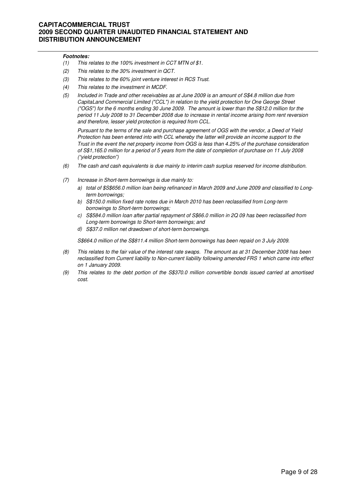#### **Footnotes:**

- (1) This relates to the 100% investment in CCT MTN of \$1.
- (2) This relates to the 30% investment in QCT.
- (3) This relates to the 60% joint venture interest in RCS Trust.
- (4) This relates to the investment in MCDF.
- (5) Included in Trade and other receivables as at June 2009 is an amount of S\$4.8 million due from CapitaLand Commercial Limited ("CCL") in relation to the yield protection for One George Street ("OGS") for the 6 months ending 30 June 2009. The amount is lower than the S\$12.0 million for the period 11 July 2008 to 31 December 2008 due to increase in rental income arising from rent reversion and therefore, lesser yield protection is required from CCL.

Pursuant to the terms of the sale and purchase agreement of OGS with the vendor, a Deed of Yield Protection has been entered into with CCL whereby the latter will provide an income support to the Trust in the event the net property income from OGS is less than 4.25% of the purchase consideration of S\$1,165.0 million for a period of 5 years from the date of completion of purchase on 11 July 2008 ("yield protection")

- (6) The cash and cash equivalents is due mainly to interim cash surplus reserved for income distribution.
- (7) Increase in Short-term borrowings is due mainly to:
	- a) total of \$S\$656.0 million loan being refinanced in March 2009 and June 2009 and classified to Longterm borrowings;
	- b) S\$150.0 million fixed rate notes due in March 2010 has been reclassified from Long-term borrowings to Short-term borrowings;
	- c) S\$584.0 million loan after partial repayment of S\$66.0 million in 2Q 09 has been reclassified from Long-term borrowings to Short-term borrowings; and
	- d) S\$37.0 million net drawdown of short-term borrowings.

S\$664.0 million of the S\$811.4 million Short-term borrowings has been repaid on 3 July 2009.

- (8) This relates to the fair value of the interest rate swaps. The amount as at 31 December 2008 has been reclassified from Current liability to Non-current liability following amended FRS 1 which came into effect on 1 January 2009.
- (9) This relates to the debt portion of the S\$370.0 million convertible bonds issued carried at amortised cost.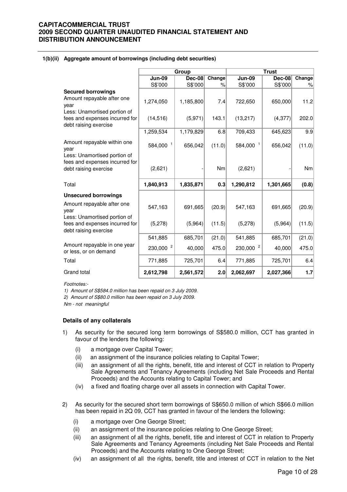#### **1(b)(ii) Aggregate amount of borrowings (including debt securities)**

|                                                                                                 |                      | Group         |                 |                      | <b>Trust</b>  |        |
|-------------------------------------------------------------------------------------------------|----------------------|---------------|-----------------|----------------------|---------------|--------|
|                                                                                                 | <b>Jun-09</b>        | <b>Dec-08</b> | Change          | $Jun-09$             | <b>Dec-08</b> | Change |
|                                                                                                 | S\$'000              | S\$'000       | $\%$            | S\$'000              | S\$'000       | $\%$   |
| <b>Secured borrowings</b><br>Amount repayable after one<br>vear<br>Less: Unamortised portion of | 1,274,050            | 1,185,800     | 7.4             | 722,650              | 650,000       | 11.2   |
| fees and expenses incurred for<br>debt raising exercise                                         | (14, 516)            | (5, 971)      | 143.1           | (13, 217)            | (4, 377)      | 202.0  |
|                                                                                                 | 1,259,534            | 1,179,829     | 6.8             | 709,433              | 645,623       | 9.9    |
| Amount repayable within one<br>year<br>Less: Unamortised portion of                             | 584,000 1            | 656,042       | (11.0)          | 584,000 1            | 656,042       | (11.0) |
| fees and expenses incurred for<br>debt raising exercise                                         | (2,621)              |               | Nm <sub>l</sub> | (2,621)              |               | Nm     |
| Total                                                                                           | 1,840,913            | 1,835,871     | 0.3             | 1,290,812            | 1,301,665     | (0.8)  |
| <b>Unsecured borrowings</b>                                                                     |                      |               |                 |                      |               |        |
| Amount repayable after one<br>year                                                              | 547,163              | 691,665       | (20.9)          | 547,163              | 691,665       | (20.9) |
| Less: Unamortised portion of<br>fees and expenses incurred for<br>debt raising exercise         | (5,278)              | (5,964)       | (11.5)          | (5,278)              | (5,964)       | (11.5) |
|                                                                                                 | 541,885              | 685,701       | (21.0)          | 541,885              | 685,701       | (21.0) |
| Amount repayable in one year<br>or less, or on demand                                           | 230,000 <sup>2</sup> | 40,000        | 475.0           | 230,000 <sup>2</sup> | 40,000        | 475.0  |
| Total                                                                                           | 771,885              | 725,701       | 6.4             | 771,885              | 725,701       | 6.4    |
| Grand total                                                                                     | 2,612,798            | 2,561,572     | 2.0             | 2,062,697            | 2,027,366     | 1.7    |

Footnotes:-

1) Amount of S\$584.0 million has been repaid on 3 July 2009.

2) Amount of S\$80.0 million has been repaid on 3 July 2009.

Nm - not meaningful

### **Details of any collaterals**

- 1) As security for the secured long term borrowings of S\$580.0 million, CCT has granted in favour of the lenders the following:
	- (i) a mortgage over Capital Tower;
	- (ii) an assignment of the insurance policies relating to Capital Tower;
	- (iii) an assignment of all the rights, benefit, title and interest of CCT in relation to Property Sale Agreements and Tenancy Agreements (including Net Sale Proceeds and Rental Proceeds) and the Accounts relating to Capital Tower; and
	- (iv) a fixed and floating charge over all assets in connection with Capital Tower.
- 2) As security for the secured short term borrowings of S\$650.0 million of which S\$66.0 million has been repaid in 2Q 09, CCT has granted in favour of the lenders the following:
	- (i) a mortgage over One George Street;
	- (ii) an assignment of the insurance policies relating to One George Street;
	- (iii) an assignment of all the rights, benefit, title and interest of CCT in relation to Property Sale Agreements and Tenancy Agreements (including Net Sale Proceeds and Rental Proceeds) and the Accounts relating to One George Street;
	- (iv) an assignment of all the rights, benefit, title and interest of CCT in relation to the Net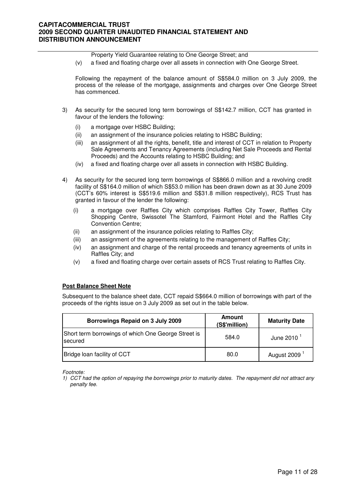Property Yield Guarantee relating to One George Street; and

(v) a fixed and floating charge over all assets in connection with One George Street.

Following the repayment of the balance amount of S\$584.0 million on 3 July 2009, the process of the release of the mortgage, assignments and charges over One George Street has commenced.

- 3) As security for the secured long term borrowings of S\$142.7 million, CCT has granted in favour of the lenders the following:
	- (i) a mortgage over HSBC Building;
	- (ii) an assignment of the insurance policies relating to HSBC Building;
	- (iii) an assignment of all the rights, benefit, title and interest of CCT in relation to Property Sale Agreements and Tenancy Agreements (including Net Sale Proceeds and Rental Proceeds) and the Accounts relating to HSBC Building; and
	- (iv) a fixed and floating charge over all assets in connection with HSBC Building.
- 4) As security for the secured long term borrowings of S\$866.0 million and a revolving credit facility of S\$164.0 million of which S\$53.0 million has been drawn down as at 30 June 2009 (CCT's 60% interest is S\$519.6 million and S\$31.8 million respectively), RCS Trust has granted in favour of the lender the following:
	- (i) a mortgage over Raffles City which comprises Raffles City Tower, Raffles City Shopping Centre, Swissotel The Stamford, Fairmont Hotel and the Raffles City Convention Centre;
	- (ii) an assignment of the insurance policies relating to Raffles City;
	- (iii) an assignment of the agreements relating to the management of Raffles City;
	- (iv) an assignment and charge of the rental proceeds and tenancy agreements of units in Raffles City; and
	- (v) a fixed and floating charge over certain assets of RCS Trust relating to Raffles City.

### **Post Balance Sheet Note**

Subsequent to the balance sheet date, CCT repaid S\$664.0 million of borrowings with part of the proceeds of the rights issue on 3 July 2009 as set out in the table below.

| Borrowings Repaid on 3 July 2009                                | Amount<br>(S\$'million) | <b>Maturity Date</b> |
|-----------------------------------------------------------------|-------------------------|----------------------|
| Short term borrowings of which One George Street is<br>Isecured | 584.0                   | June 2010 $1$        |
| Bridge loan facility of CCT                                     | 80.0                    | August 2009          |

Footnote:

<sup>1)</sup> CCT had the option of repaying the borrowings prior to maturity dates. The repayment did not attract any penalty fee.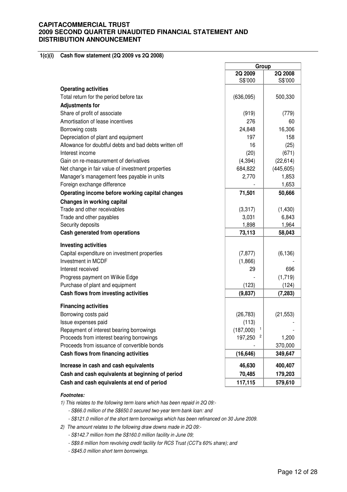#### **1(c)(i) Cash flow statement (2Q 2009 vs 2Q 2008)**

|                                                        | Group          |            |
|--------------------------------------------------------|----------------|------------|
|                                                        | 2Q 2009        | 2Q 2008    |
|                                                        | S\$'000        | S\$'000    |
| <b>Operating activities</b>                            |                |            |
| Total return for the period before tax                 | (636,095)      | 500,330    |
| <b>Adjustments for</b>                                 |                |            |
| Share of profit of associate                           | (919)          | (779)      |
| Amortisation of lease incentives                       | 276            | 60         |
| Borrowing costs                                        | 24,848         | 16,306     |
| Depreciation of plant and equipment                    | 197            | 158        |
| Allowance for doubtful debts and bad debts written off | 16             | (25)       |
| Interest income                                        | (20)           | (671)      |
| Gain on re-measurement of derivatives                  | (4, 394)       | (22, 614)  |
| Net change in fair value of investment properties      | 684,822        | (445, 605) |
| Manager's management fees payable in units             | 2,770          | 1,853      |
| Foreign exchange difference                            |                | 1,653      |
| Operating income before working capital changes        | 71,501         | 50,666     |
| Changes in working capital                             |                |            |
| Trade and other receivables                            | (3,317)        | (1,430)    |
| Trade and other payables                               | 3,031          | 6,843      |
| Security deposits                                      | 1,898          | 1,964      |
| Cash generated from operations                         | 73,113         | 58,043     |
|                                                        |                |            |
| <b>Investing activities</b>                            |                |            |
| Capital expenditure on investment properties           | (7, 877)       | (6, 136)   |
| Investment in MCDF                                     | (1,866)        |            |
| Interest received                                      | 29             | 696        |
| Progress payment on Wilkie Edge                        |                | (1,719)    |
| Purchase of plant and equipment                        | (123)          | (124)      |
| Cash flows from investing activities                   | (9,837)        | (7, 283)   |
| <b>Financing activities</b>                            |                |            |
| Borrowing costs paid                                   | (26, 783)      | (21, 553)  |
| Issue expenses paid                                    | (113)          |            |
| Repayment of interest bearing borrowings               | 1<br>(187,000) |            |
| Proceeds from interest bearing borrowings              | 197,250        | 1,200      |
| Proceeds from issuance of convertible bonds            |                | 370,000    |
| Cash flows from financing activities                   | (16, 646)      | 349,647    |
| Increase in cash and cash equivalents                  | 46,630         | 400,407    |
| Cash and cash equivalents at beginning of period       | 70,485         | 179,203    |
| Cash and cash equivalents at end of period             | 117,115        | 579,610    |

#### **Footnotes:**

1) This relates to the following term loans which has been repaid in 2Q 09:-

- S\$66.0 million of the S\$650.0 secured two-year term bank loan: and

- S\$121.0 million of the short term borrowings which has been refinanced on 30 June 2009.

2) The amount relates to the following draw downs made in 2Q 09:-

- S\$142.7 million from the S\$160.0 million facility in June 09;

- S\$9.6 million from revolving credit facility for RCS Trust (CCT's 60% share); and

- S\$45.0 million short term borrowings.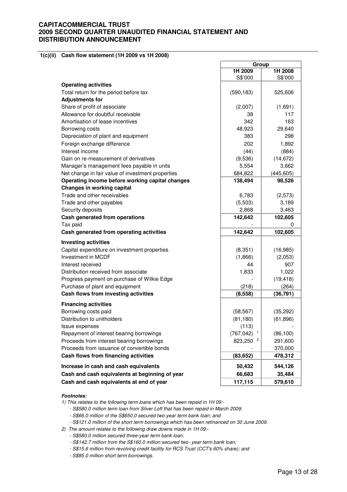#### **1(c)(ii) Cash flow statement (1H 2009 vs 1H 2008)**

|                                                   | Group      |            |
|---------------------------------------------------|------------|------------|
|                                                   | 1H 2009    | 1H 2008    |
|                                                   | S\$'000    | S\$'000    |
| <b>Operating activities</b>                       |            |            |
| Total return for the period before tax            | (590, 183) | 525,606    |
| <b>Adjustments for</b>                            |            |            |
| Share of profit of associate                      | (2,007)    | (1,691)    |
| Allowance for doubtful receivable                 | 38         | 117        |
| Amortisation of lease incentives                  | 342        | 163        |
| Borrowing costs                                   | 48,923     | 29,640     |
| Depreciation of plant and equipment               | 383        | 298        |
| Foreign exchange difference                       | 202        | 1,892      |
| Interest income                                   | (44)       | (884)      |
| Gain on re-measurement of derivatives             | (9,536)    | (14, 672)  |
| Manager's management fees payable in units        | 5,554      | 3,662      |
| Net change in fair value of investment properties | 684,822    | (445, 605) |
| Operating income before working capital changes   | 138,494    | 98,526     |
| Changes in working capital                        |            |            |
| Trade and other receivables                       | 6,783      | (2,573)    |
| Trade and other payables                          | (5,503)    | 3,189      |
| Security deposits                                 | 2,868      | 3,463      |
| Cash generated from operations                    | 142,642    | 102,605    |
| Tax paid                                          |            | 0          |
| Cash generated from operating activities          | 142,642    | 102,605    |
| <b>Investing activities</b>                       |            |            |
| Capital expenditure on investment properties      | (8,351)    | (16, 985)  |
| <b>Investment in MCDF</b>                         | (1,866)    | (2,053)    |
| Interest received                                 | 44         | 907        |
| Distribution received from associate              | 1,833      | 1,022      |
| Progress payment on purchase of Wilkie Edge       |            | (19, 418)  |
| Purchase of plant and equipment                   | (218)      | (264)      |
| Cash flows from investing activities              | (8, 558)   | (36, 791)  |
| <b>Financing activities</b>                       |            |            |
| Borrowing costs paid                              | (58, 567)  | (35, 292)  |
| Distribution to unitholders                       | (81, 180)  | (61, 896)  |
| Issue expenses                                    | (113)      |            |
| Repayment of interest bearing borrowings          | (767, 042) | (86, 100)  |
| Proceeds from interest bearing borrowings         | 823,250    | 291,600    |
| Proceeds from issuance of convertible bonds       |            | 370,000    |
| Cash flows from financing activities              | (83, 652)  | 478,312    |
| Increase in cash and cash equivalents             | 50,432     | 544,126    |
| Cash and cash equivalents at beginning of year    | 66,683     | 35,484     |
| Cash and cash equivalents at end of year          | 117,115    | 579,610    |

#### **Footnotes:**

1) This relates to the following term loans which has been repaid in 1H 09:-

- S\$580.0 million term loan from Silver Loft that has been repaid in March 2009;

- S\$66.0 million of the S\$650.0 secured two-year term bank loan; and

- S\$121.0 million of the short term borrowings which has been refinanced on 30 June 2009.

2) The amount relates to the following draw downs made in 1H 09:-

- S\$580.0 million secured three-year term bank loan;

- S\$142.7 million from the S\$160.0 million secured two - year term bank loan;

- S\$15.6 million from revolving credit facility for RCS Trust (CCT's 60% share); and

- S\$85.0 million short term borrowings.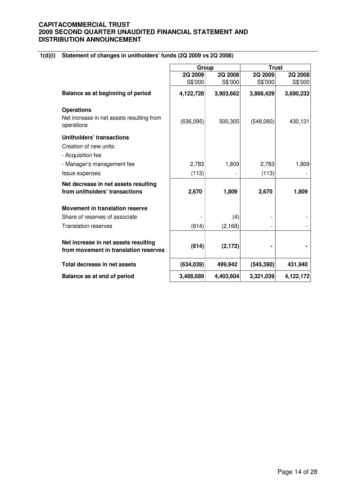# **1(d)(i) Statement of changes in unitholders' funds (2Q 2009 vs 2Q 2008)**

|                                                                                 | Group      |           | <b>Trust</b> |           |
|---------------------------------------------------------------------------------|------------|-----------|--------------|-----------|
|                                                                                 | 2Q 2009    | 2Q 2008   | 2Q 2009      | 2Q 2008   |
|                                                                                 | S\$'000    | S\$'000   | S\$'000      | S\$'000   |
| Balance as at beginning of period                                               | 4,122,728  | 3,903,662 | 3,866,429    | 3,690,232 |
| <b>Operations</b><br>Net increase in net assets resulting from<br>operations    | (636, 095) | 500,305   | (548,060)    | 430,131   |
| <b>Unitholders' transactions</b><br>Creation of new units:<br>- Acquisition fee |            |           |              |           |
| - Manager's management fee                                                      | 2,783      | 1,809     | 2,783        | 1,809     |
| Issue expenses                                                                  | (113)      |           | (113)        |           |
|                                                                                 |            |           |              |           |
| Net decrease in net assets resulting<br>from unitholders' transactions          | 2,670      | 1,809     | 2,670        | 1,809     |
| <b>Movement in translation reserve</b>                                          |            |           |              |           |
| Share of reserves of associate                                                  |            | (4)       |              |           |
| <b>Translation reserves</b>                                                     | (614)      | (2, 168)  |              |           |
| Net increase in net assets resulting<br>from movement in translation reserves   | (614)      | (2, 172)  |              |           |
| Total decrease in net assets                                                    | (634, 039) | 499,942   | (545, 390)   | 431,940   |
| Balance as at end of period                                                     | 3,488,689  | 4,403,604 | 3,321,039    | 4,122,172 |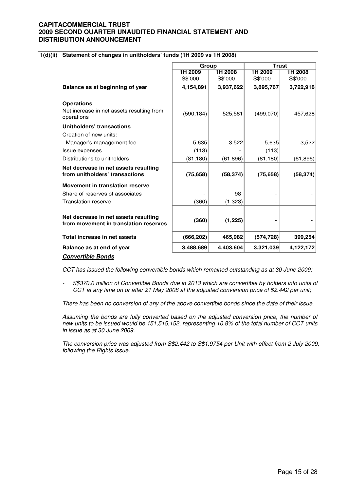### **1(d)(ii) Statement of changes in unitholders' funds (1H 2009 vs 1H 2008)**

|                                                                               | Group      |           | <b>Trust</b> |           |
|-------------------------------------------------------------------------------|------------|-----------|--------------|-----------|
|                                                                               | 1H 2009    | 1H 2008   | 1H 2009      | 1H 2008   |
|                                                                               | S\$'000    | S\$'000   | S\$'000      | S\$'000   |
| Balance as at beginning of year                                               | 4,154,891  | 3,937,622 | 3,895,767    | 3,722,918 |
| <b>Operations</b>                                                             |            |           |              |           |
| Net increase in net assets resulting from<br>operations                       | (590, 184) | 525,581   | (499,070)    | 457,628   |
| Unitholders' transactions                                                     |            |           |              |           |
| Creation of new units:                                                        |            |           |              |           |
| - Manager's management fee                                                    | 5,635      | 3,522     | 5,635        | 3,522     |
| <b>Issue expenses</b>                                                         | (113)      |           | (113)        |           |
| Distributions to unitholders                                                  | (81, 180)  | (61, 896) | (81, 180)    | (61, 896) |
| Net decrease in net assets resulting<br>from unitholders' transactions        | (75, 658)  | (58, 374) | (75, 658)    | (58, 374) |
| <b>Movement in translation reserve</b>                                        |            |           |              |           |
| Share of reserves of associates                                               |            | 98        |              |           |
| <b>Translation reserve</b>                                                    | (360)      | (1, 323)  |              |           |
|                                                                               |            |           |              |           |
| Net decrease in net assets resulting<br>from movement in translation reserves | (360)      | (1,225)   |              |           |
| Total increase in net assets                                                  | (666, 202) | 465,982   | (574, 728)   | 399,254   |
| Balance as at end of year                                                     | 3,488,689  | 4,403,604 | 3,321,039    | 4,122,172 |
| <b>Convertible Bonds</b>                                                      |            |           |              |           |

CCT has issued the following convertible bonds which remained outstanding as at 30 June 2009:

S\$370.0 million of Convertible Bonds due in 2013 which are convertible by holders into units of CCT at any time on or after 21 May 2008 at the adjusted conversion price of \$2.442 per unit;

There has been no conversion of any of the above convertible bonds since the date of their issue.

Assuming the bonds are fully converted based on the adjusted conversion price, the number of new units to be issued would be 151,515,152, representing 10.8% of the total number of CCT units in issue as at 30 June 2009.

The conversion price was adjusted from S\$2.442 to S\$1.9754 per Unit with effect from 2 July 2009, following the Rights Issue.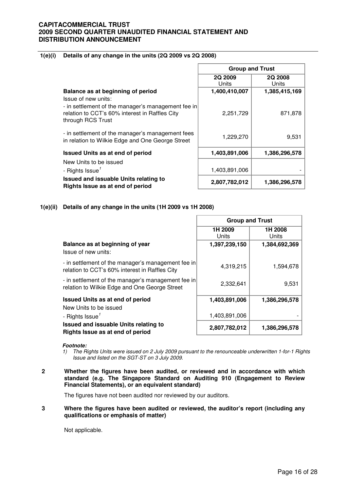### **1(e)(i) Details of any change in the units (2Q 2009 vs 2Q 2008)**

|                                                                                                                                                  | <b>Group and Trust</b> |                  |  |
|--------------------------------------------------------------------------------------------------------------------------------------------------|------------------------|------------------|--|
|                                                                                                                                                  | 2Q 2009<br>Units       | 2Q 2008<br>Units |  |
| Balance as at beginning of period                                                                                                                | 1,400,410,007          | 1,385,415,169    |  |
| Issue of new units:<br>- in settlement of the manager's management fee in<br>relation to CCT's 60% interest in Raffles City<br>through RCS Trust | 2,251,729              | 871,878          |  |
| - in settlement of the manager's management fees<br>in relation to Wilkie Edge and One George Street                                             | 1,229,270              | 9,531            |  |
| <b>Issued Units as at end of period</b>                                                                                                          | 1,403,891,006          | 1,386,296,578    |  |
| New Units to be issued                                                                                                                           |                        |                  |  |
| - Rights Issue <sup>1</sup>                                                                                                                      | 1,403,891,006          |                  |  |
| Issued and issuable Units relating to<br>Rights Issue as at end of period                                                                        | 2,807,782,012          | 1,386,296,578    |  |

### **1(e)(ii) Details of any change in the units (1H 2009 vs 1H 2008)**

|                                                                                                      | <b>Group and Trust</b> |                  |
|------------------------------------------------------------------------------------------------------|------------------------|------------------|
|                                                                                                      | 1H 2009<br>Units       | 1H 2008<br>Units |
| Balance as at beginning of year<br>Issue of new units:                                               | 1,397,239,150          | 1,384,692,369    |
| - in settlement of the manager's management fee in<br>relation to CCT's 60% interest in Raffles City | 4,319,215              | 1,594,678        |
| - in settlement of the manager's management fee in<br>relation to Wilkie Edge and One George Street  | 2,332,641              | 9,531            |
| <b>Issued Units as at end of period</b>                                                              | 1,403,891,006          | 1,386,296,578    |
| New Units to be issued<br>- Rights Issue <sup>1</sup>                                                | 1,403,891,006          |                  |
| Issued and issuable Units relating to<br>Rights Issue as at end of period                            | 2,807,782,012          | 1,386,296,578    |

#### **Footnote:**

- 1) The Rights Units were issued on 2 July 2009 pursuant to the renounceable underwritten 1-for-1 Rights Issue and listed on the SGT-ST on 3 July 2009.
- **2 Whether the figures have been audited, or reviewed and in accordance with which standard (e.g. The Singapore Standard on Auditing 910 (Engagement to Review Financial Statements), or an equivalent standard)**

The figures have not been audited nor reviewed by our auditors.

#### **3 Where the figures have been audited or reviewed, the auditor's report (including any qualifications or emphasis of matter)**

Not applicable.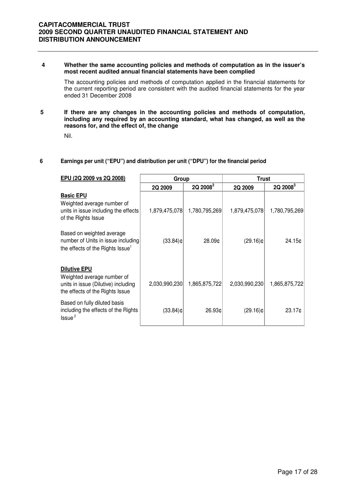#### **4 Whether the same accounting policies and methods of computation as in the issuer's most recent audited annual financial statements have been complied**

The accounting policies and methods of computation applied in the financial statements for the current reporting period are consistent with the audited financial statements for the year ended 31 December 2008

### **5 If there are any changes in the accounting policies and methods of computation, including any required by an accounting standard, what has changed, as well as the reasons for, and the effect of, the change**

Nil.

### **6 Earnings per unit ("EPU") and distribution per unit ("DPU") for the financial period**

| EPU (2Q 2009 vs 2Q 2008)                                                                                                    | Group         |               | <b>Trust</b>  |               |
|-----------------------------------------------------------------------------------------------------------------------------|---------------|---------------|---------------|---------------|
|                                                                                                                             | 2Q 2009       | $2Q$ $2008^3$ | 2Q 2009       | $2Q$ $2008^3$ |
| <b>Basic EPU</b><br>Weighted average number of<br>units in issue including the effects<br>of the Rights Issue               | 1,879,475,078 | 1,780,795,269 | 1,879,475,078 | 1,780,795,269 |
| Based on weighted average<br>number of Units in issue including<br>the effects of the Rights Issue <sup>1</sup>             | $(33.84)$ ¢   | 28.09¢        | $(29.16)$ ¢   | 24.15c        |
| <b>Dilutive EPU</b><br>Weighted average number of<br>units in issue (Dilutive) including<br>the effects of the Rights Issue | 2,030,990,230 | 1,865,875,722 | 2,030,990,230 | 1,865,875,722 |
| Based on fully diluted basis<br>including the effects of the Rights<br>$l$ ssue $^2$                                        | $(33.84)$ ¢   | 26.93¢        | $(29.16)$ ¢   | 23.17c        |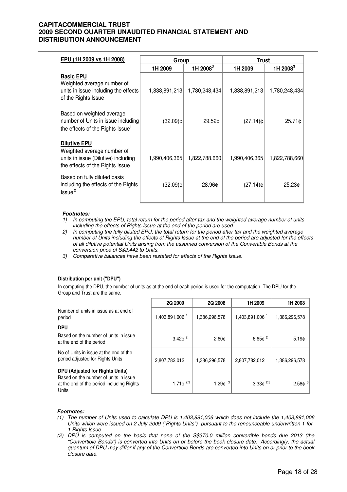| EPU (1H 2009 vs 1H 2008)                                                                                                    | Group         |                      | <b>Trust</b>  |                      |
|-----------------------------------------------------------------------------------------------------------------------------|---------------|----------------------|---------------|----------------------|
|                                                                                                                             | 1H 2009       | 1H 2008 <sup>3</sup> | 1H 2009       | 1H 2008 <sup>3</sup> |
| <b>Basic EPU</b><br>Weighted average number of<br>units in issue including the effects<br>of the Rights Issue               | 1,838,891,213 | 1,780,248,434        | 1,838,891,213 | 1,780,248,434        |
| Based on weighted average<br>number of Units in issue including<br>the effects of the Rights Issue <sup>1</sup>             | $(32.09)$ ¢   | 29.52¢               | $(27.14)$ ¢   | $25.71$ ¢            |
| <b>Dilutive EPU</b><br>Weighted average number of<br>units in issue (Dilutive) including<br>the effects of the Rights Issue | 1,990,406,365 | 1,822,788,660        | 1,990,406,365 | 1,822,788,660        |
| Based on fully diluted basis<br>including the effects of the Rights<br>Issue <sup>2</sup>                                   | (32.09)¢      | 28.96¢               | $(27.14)$ ¢   | 25.23¢               |

#### **Footnotes:**

- 1) In computing the EPU, total return for the period after tax and the weighted average number of units including the effects of Rights Issue at the end of the period are used.
- 2) In computing the fully diluted EPU, the total return for the period after tax and the weighted average number of Units including the effects of Rights Issue at the end of the period are adjusted for the effects of all dilutive potential Units arising from the assumed conversion of the Convertible Bonds at the conversion price of S\$2.442 to Units.
- 3) Comparative balances have been restated for effects of the Rights Issue.

#### **Distribution per unit ("DPU")**

In computing the DPU, the number of units as at the end of each period is used for the computation. The DPU for the Group and Trust are the same.

Number of units in issue as at end of period 1,403,891,006<sup>1</sup>

#### **DPU**

Based on the number of units in issue at the end of the period

No of Units in issue at the end of the period adjusted for Rights Units

#### **DPU (Adjusted for Rights Units)**

Based on the number of units in issue at the end of the period including Rights Units

| 2Q 2009                    | 2Q 2008           | 1H 2009                    | 1H 2008                 |
|----------------------------|-------------------|----------------------------|-------------------------|
| 1,403,891,006 <sup>1</sup> | 1,386,296,578     | 1,403,891,006 <sup>1</sup> | 1,386,296,578           |
| 3.42 $\phi$ <sup>2</sup>   | 2.60 <sub>c</sub> | $6.65¢$ <sup>2</sup>       | 5.19c                   |
| 2,807,782,012              | 1,386,296,578     | 2,807,782,012              | 1,386,296,578           |
| 1.71 $\phi^{2,3}$          | 3<br>1.29c        | $3.33e^{2,3}$              | 2.58 $\mathfrak{e}^{3}$ |

#### **Footnotes:**

- (1) The number of Units used to calculate DPU is 1,403,891,006 which does not include the 1,403,891,006 Units which were issued on 2 July 2009 ("Rights Units") pursuant to the renounceable underwritten 1-for-1 Rights Issue.
- (2) DPU is computed on the basis that none of the S\$370.0 million convertible bonds due 2013 (the "Convertible Bonds") is converted into Units on or before the book closure date. Accordingly, the actual quantum of DPU may differ if any of the Convertible Bonds are converted into Units on or prior to the book closure date.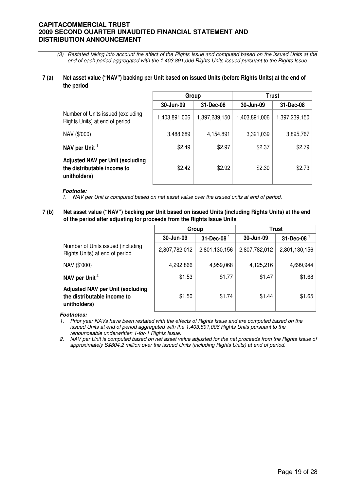(3) Restated taking into account the effect of the Rights Issue and computed based on the issued Units at the end of each period aggregated with the 1,403,891,006 Rights Units issued pursuant to the Rights Issue.

#### **7 (a) Net asset value ("NAV") backing per Unit based on issued Units (before Rights Units) at the end of the period**

|                                                                                        | Group         |               | <b>Trust</b>  |               |
|----------------------------------------------------------------------------------------|---------------|---------------|---------------|---------------|
|                                                                                        | 30-Jun-09     | 31-Dec-08     | 30-Jun-09     | 31-Dec-08     |
| Number of Units issued (excluding<br>Rights Units) at end of period                    | 1,403,891,006 | 1,397,239,150 | 1,403,891,006 | 1,397,239,150 |
| NAV (\$'000)                                                                           | 3,488,689     | 4,154,891     | 3,321,039     | 3,895,767     |
| NAV per Unit $1$                                                                       | \$2.49        | \$2.97        | \$2.37        | \$2.79        |
| <b>Adjusted NAV per Unit (excluding</b><br>the distributable income to<br>unitholders) | \$2.42        | \$2.92        | \$2.30        | \$2.73        |

#### **Footnote:**

- 1. NAV per Unit is computed based on net asset value over the issued units at end of period.
- **7 (b) Net asset value ("NAV") backing per Unit based on issued Units (including Rights Units) at the end of the period after adjusting for proceeds from the Rights Issue Units**

|                                                                                        | Group         |                  | <b>Trust</b>  |                         |
|----------------------------------------------------------------------------------------|---------------|------------------|---------------|-------------------------|
|                                                                                        | 30-Jun-09     | $31$ -Dec-08 $1$ | 30-Jun-09     | $31$ -Dec-08 $^{\circ}$ |
| Number of Units issued (including<br>Rights Units) at end of period                    | 2,807,782,012 | 2,801,130,156    | 2,807,782,012 | 2,801,130,156           |
| NAV (\$'000)                                                                           | 4,292,866     | 4,959,068        | 4,125,216     | 4,699,944               |
| NAV per Unit <sup>2</sup>                                                              | \$1.53        | \$1.77           | \$1.47        | \$1.68                  |
| <b>Adjusted NAV per Unit (excluding</b><br>the distributable income to<br>unitholders) | \$1.50        | \$1.74           | \$1.44        | \$1.65                  |

#### **Footnotes:**

1. Prior year NAVs have been restated with the effects of Rights Issue and are computed based on the issued Units at end of period aggregated with the 1,403,891,006 Rights Units pursuant to the renounceable underwritten 1-for-1 Rights Issue.

2. NAV per Unit is computed based on net asset value adjusted for the net proceeds from the Rights Issue of approximately S\$804.2 million over the issued Units (including Rights Units) at end of period.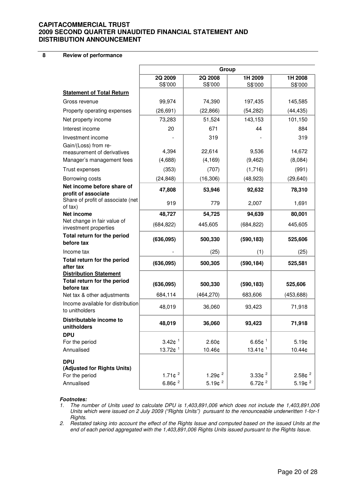**8 Review of performance**

|                                                                            | Group                  |                    |                       |                          |
|----------------------------------------------------------------------------|------------------------|--------------------|-----------------------|--------------------------|
|                                                                            | 2Q 2009<br>S\$'000     | 2Q 2008<br>S\$'000 | 1H 2009<br>S\$'000    | 1H 2008<br>S\$'000       |
| <b>Statement of Total Return</b>                                           |                        |                    |                       |                          |
| Gross revenue                                                              | 99,974                 | 74,390             | 197,435               | 145,585                  |
| Property operating expenses                                                | (26, 691)              | (22, 866)          | (54, 282)             | (44, 435)                |
| Net property income                                                        | 73,283                 | 51,524             | 143,153               | 101,150                  |
| Interest income                                                            | 20                     | 671                | 44                    | 884                      |
| Investment income                                                          |                        | 319                |                       | 319                      |
| Gain/(Loss) from re-                                                       |                        |                    |                       |                          |
| measurement of derivatives                                                 | 4,394                  | 22,614             | 9,536                 | 14,672                   |
| Manager's management fees                                                  | (4,688)                | (4, 169)           | (9, 462)              | (8,084)                  |
| Trust expenses                                                             | (353)                  | (707)              | (1,716)               | (991)                    |
| Borrowing costs                                                            | (24, 848)              | (16, 306)          | (48, 923)             | (29, 640)                |
| Net income before share of<br>profit of associate                          | 47,808                 | 53,946             | 92,632                | 78,310                   |
| Share of profit of associate (net<br>of tax)                               | 919                    | 779                | 2,007                 | 1,691                    |
| Net income                                                                 | 48,727                 | 54,725             | 94,639                | 80,001                   |
| Net change in fair value of<br>investment properties                       | (684, 822)             | 445,605            | (684, 822)            | 445,605                  |
| Total return for the period<br>before tax                                  | (636,095)              | 500,330            | (590, 183)            | 525,606                  |
| Income tax                                                                 |                        | (25)               | (1)                   | (25)                     |
| Total return for the period<br>after tax                                   | (636,095)              | 500,305            | (590, 184)            | 525,581                  |
| <b>Distribution Statement</b><br>Total return for the period<br>before tax | (636,095)              | 500,330            | (590, 183)            | 525,606                  |
| Net tax & other adjustments                                                | 684,114                | (464, 270)         | 683,606               | (453, 688)               |
| Income available for distribution<br>to unitholders                        | 48,019                 | 36,060             | 93,423                | 71,918                   |
| Distributable income to<br>unitholders                                     | 48,019                 | 36,060             | 93,423                | 71,918                   |
| <b>DPU</b>                                                                 |                        |                    |                       |                          |
| For the period                                                             | $3.42e^{1}$            | 2.60¢              | $6.65 \text{¢}^{-1}$  | $5.19$ ¢                 |
| Annualised                                                                 | 13.72 $¢$ <sup>1</sup> | 10.46¢             | $13.41e^{1}$          | 10.44¢                   |
| <b>DPU</b><br>(Adjusted for Rights Units)                                  |                        |                    |                       |                          |
| For the period                                                             | 1.71 $¢$ <sup>2</sup>  | 1.29 $¢$ $^2$      | $3.33e^{2}$           | 2.58¢ <sup>2</sup>       |
| Annualised                                                                 | $6.86e^{2}$            | $5.19e^{2}$        | 6.72 $¢$ <sup>2</sup> | 5.19 $\phi$ <sup>2</sup> |

#### **Footnotes:**

1. The number of Units used to calculate DPU is 1,403,891,006 which does not include the 1,403,891,006 Units which were issued on 2 July 2009 ("Rights Units") pursuant to the renounceable underwritten 1-for-1 Rights.

2. Restated taking into account the effect of the Rights Issue and computed based on the issued Units at the end of each period aggregated with the 1,403,891,006 Rights Units issued pursuant to the Rights Issue.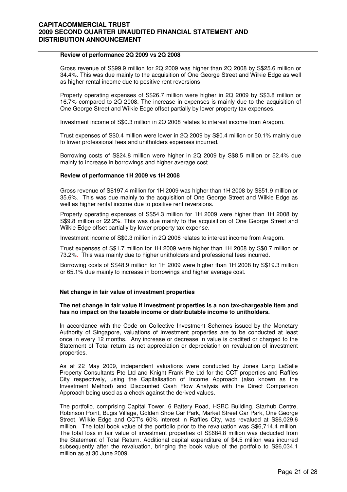#### **Review of performance 2Q 2009 vs 2Q 2008**

 Gross revenue of S\$99.9 million for 2Q 2009 was higher than 2Q 2008 by S\$25.6 million or 34.4%. This was due mainly to the acquisition of One George Street and Wilkie Edge as well as higher rental income due to positive rent reversions.

Property operating expenses of S\$26.7 million were higher in 2Q 2009 by S\$3.8 million or 16.7% compared to 2Q 2008. The increase in expenses is mainly due to the acquisition of One George Street and Wilkie Edge offset partially by lower property tax expenses.

Investment income of S\$0.3 million in 2Q 2008 relates to interest income from Aragorn.

Trust expenses of S\$0.4 million were lower in 2Q 2009 by S\$0.4 million or 50.1% mainly due to lower professional fees and unitholders expenses incurred.

Borrowing costs of S\$24.8 million were higher in 2Q 2009 by S\$8.5 million or 52.4% due mainly to increase in borrowings and higher average cost.

#### **Review of performance 1H 2009 vs 1H 2008**

Gross revenue of S\$197.4 million for 1H 2009 was higher than 1H 2008 by S\$51.9 million or 35.6%. This was due mainly to the acquisition of One George Street and Wilkie Edge as well as higher rental income due to positive rent reversions.

Property operating expenses of S\$54.3 million for 1H 2009 were higher than 1H 2008 by S\$9.8 million or 22.2%. This was due mainly to the acquisition of One George Street and Wilkie Edge offset partially by lower property tax expense.

Investment income of S\$0.3 million in 2Q 2008 relates to interest income from Aragorn.

Trust expenses of S\$1.7 million for 1H 2009 were higher than 1H 2008 by S\$0.7 million or 73.2%. This was mainly due to higher unitholders and professional fees incurred.

Borrowing costs of S\$48.9 million for 1H 2009 were higher than 1H 2008 by S\$19.3 million or 65.1% due mainly to increase in borrowings and higher average cost.

#### **Net change in fair value of investment properties**

#### **The net change in fair value if investment properties is a non tax-chargeable item and has no impact on the taxable income or distributable income to unitholders.**

In accordance with the Code on Collective Investment Schemes issued by the Monetary Authority of Singapore, valuations of investment properties are to be conducted at least once in every 12 months. Any increase or decrease in value is credited or charged to the Statement of Total return as net appreciation or depreciation on revaluation of investment properties.

As at 22 May 2009, independent valuations were conducted by Jones Lang LaSalle Property Consultants Pte Ltd and Knight Frank Pte Ltd for the CCT properties and Raffles City respectively, using the Capitalisation of Income Approach (also known as the Investment Method) and Discounted Cash Flow Analysis with the Direct Comparison Approach being used as a check against the derived values.

The portfolio, comprising Capital Tower, 6 Battery Road, HSBC Building, Starhub Centre, Robinson Point, Bugis Village, Golden Shoe Car Park, Market Street Car Park, One George Street, Wilkie Edge and CCT's 60% interest in Raffles City, was revalued at S\$6,029.6 million. The total book value of the portfolio prior to the revaluation was S\$6,714.4 million. The total loss in fair value of investment properties of S\$684.8 million was deducted from the Statement of Total Return. Additional capital expenditure of \$4.5 million was incurred subsequently after the revaluation, bringing the book value of the portfolio to S\$6,034.1 million as at 30 June 2009.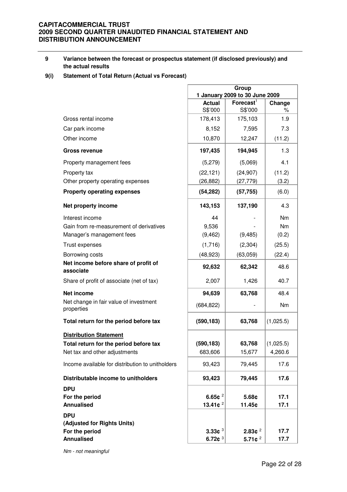#### **9 Variance between the forecast or prospectus statement (if disclosed previously) and the actual results**

### **9(i) Statement of Total Return (Actual vs Forecast)**

|                                                      | Group<br>1 January 2009 to 30 June 2009 |                                  |              |
|------------------------------------------------------|-----------------------------------------|----------------------------------|--------------|
|                                                      | <b>Actual</b>                           | $F$ orecast $1$                  | Change       |
|                                                      | S\$'000                                 | S\$'000                          | %            |
| Gross rental income                                  | 178,413                                 | 175,103                          | 1.9          |
| Car park income                                      | 8,152                                   | 7,595                            | 7.3          |
| Other income                                         | 10,870                                  | 12,247                           | (11.2)       |
| <b>Gross revenue</b>                                 | 197,435                                 | 194,945                          | 1.3          |
| Property management fees                             | (5,279)                                 | (5,069)                          | 4.1          |
| Property tax                                         | (22, 121)                               | (24, 907)                        | (11.2)       |
| Other property operating expenses                    | (26, 882)                               | (27, 779)                        | (3.2)        |
| <b>Property operating expenses</b>                   | (54, 282)                               | (57, 755)                        | (6.0)        |
| Net property income                                  | 143,153                                 | 137,190                          | 4.3          |
| Interest income                                      | 44                                      |                                  | Nm           |
| Gain from re-measurement of derivatives              | 9,536                                   |                                  | <b>Nm</b>    |
| Manager's management fees                            | (9, 462)                                | (9, 485)                         | (0.2)        |
| Trust expenses                                       | (1,716)                                 | (2,304)                          | (25.5)       |
| Borrowing costs                                      | (48, 923)                               | (63,059)                         | (22.4)       |
| Net income before share of profit of<br>associate    | 92,632                                  | 62,342                           | 48.6         |
| Share of profit of associate (net of tax)            | 2,007                                   | 1,426                            | 40.7         |
| Net income                                           | 94,639                                  | 63,768                           | 48.4         |
| Net change in fair value of investment<br>properties | (684, 822)                              |                                  | Nm           |
| Total return for the period before tax               | (590, 183)                              | 63,768                           | (1,025.5)    |
| <b>Distribution Statement</b>                        |                                         |                                  |              |
| Total return for the period before tax               | (590, 183)                              | 63,768                           | (1,025.5)    |
| Net tax and other adjustments                        | 683,606                                 | 15,677                           | 4,260.6      |
| Income available for distribution to unitholders     | 93,423                                  | 79,445                           | 17.6         |
| Distributable income to unitholders                  | 93,423                                  | 79,445                           | 17.6         |
| <b>DPU</b>                                           |                                         |                                  |              |
| For the period                                       | 6.65 $e^2$                              | 5.68¢                            | 17.1         |
| <b>Annualised</b>                                    | 13.41 $e^2$                             | 11.45¢                           | 17.1         |
| <b>DPU</b>                                           |                                         |                                  |              |
| (Adjusted for Rights Units)                          |                                         |                                  |              |
| For the period<br><b>Annualised</b>                  | 3.33 $+$ 3<br>6.72 $¢$ <sup>3</sup>     | 2.83c <sup>2</sup><br>5.71 $e^2$ | 17.7<br>17.7 |
|                                                      |                                         |                                  |              |

Nm - not meaningful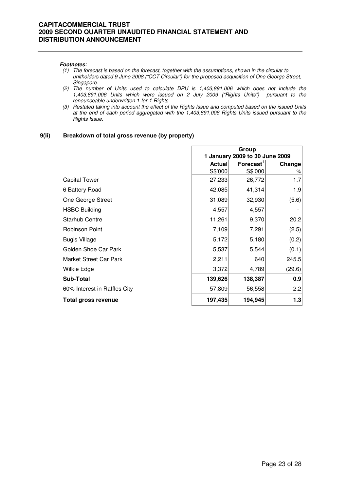#### **Footnotes:**

- (1) The forecast is based on the forecast, together with the assumptions, shown in the circular to unitholders dated 9 June 2008 ("CCT Circular") for the proposed acquisition of One George Street, Singapore.
- (2) The number of Units used to calculate DPU is 1,403,891,006 which does not include the 1,403,891,006 Units which were issued on 2 July 2009 ("Rights Units") pursuant to the renounceable underwritten 1-for-1 Rights.
- (3) Restated taking into account the effect of the Rights Issue and computed based on the issued Units at the end of each period aggregated with the 1,403,891,006 Rights Units issued pursuant to the Rights Issue.

#### **9(ii) Breakdown of total gross revenue (by property)**

|                              | Group<br>1 January 2009 to 30 June 2009 |                       |        |
|------------------------------|-----------------------------------------|-----------------------|--------|
|                              | <b>Actual</b>                           | Forecast <sup>1</sup> | Change |
|                              | S\$'000                                 | S\$'000               | %      |
| <b>Capital Tower</b>         | 27,233                                  | 26,772                | 1.7    |
| 6 Battery Road               | 42,085                                  | 41,314                | 1.9    |
| One George Street            | 31,089                                  | 32,930                | (5.6)  |
| <b>HSBC Building</b>         | 4,557                                   | 4,557                 |        |
| Starhub Centre               | 11,261                                  | 9,370                 | 20.2   |
| <b>Robinson Point</b>        | 7,109                                   | 7,291                 | (2.5)  |
| <b>Bugis Village</b>         | 5,172                                   | 5,180                 | (0.2)  |
| Golden Shoe Car Park         | 5,537                                   | 5,544                 | (0.1)  |
| Market Street Car Park       | 2,211                                   | 640                   | 245.5  |
| Wilkie Edge                  | 3,372                                   | 4,789                 | (29.6) |
| <b>Sub-Total</b>             | 139,626                                 | 138,387               | 0.9    |
| 60% Interest in Raffles City | 57,809                                  | 56,558                | 2.2    |
| <b>Total gross revenue</b>   | 197,435                                 | 194,945               | 1.3    |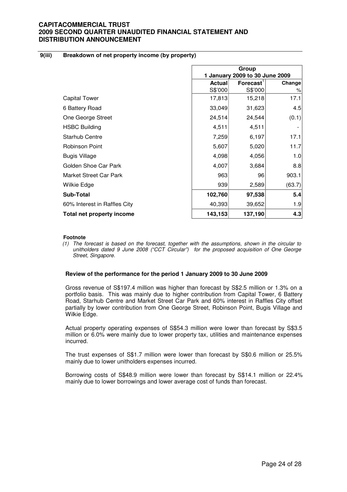#### **9(iii) Breakdown of net property income (by property)**

|                              | Group<br>1 January 2009 to 30 June 2009 |                       |        |
|------------------------------|-----------------------------------------|-----------------------|--------|
|                              | <b>Actual</b>                           | Forecast <sup>'</sup> | Change |
|                              | S\$'000                                 | S\$'000               | %      |
| Capital Tower                | 17,813                                  | 15,218                | 17.1   |
| 6 Battery Road               | 33,049                                  | 31,623                | 4.5    |
| One George Street            | 24,514                                  | 24,544                | (0.1)  |
| <b>HSBC Building</b>         | 4,511                                   | 4,511                 |        |
| <b>Starhub Centre</b>        | 7,259                                   | 6,197                 | 17.1   |
| <b>Robinson Point</b>        | 5,607                                   | 5,020                 | 11.7   |
| <b>Bugis Village</b>         | 4,098                                   | 4,056                 | 1.0    |
| Golden Shoe Car Park         | 4,007                                   | 3,684                 | 8.8    |
| Market Street Car Park       | 963                                     | 96                    | 903.1  |
| Wilkie Edge                  | 939                                     | 2,589                 | (63.7) |
| <b>Sub-Total</b>             | 102,760                                 | 97,538                | 5.4    |
| 60% Interest in Raffles City | 40,393                                  | 39,652                | 1.9    |
| Total net property income    | 143,153                                 | 137,190               | 4.3    |

#### **Footnote**

(1) The forecast is based on the forecast, together with the assumptions, shown in the circular to unitholders dated 9 June 2008 ("CCT Circular") for the proposed acquisition of One George Street, Singapore.

#### **Review of the performance for the period 1 January 2009 to 30 June 2009**

Gross revenue of S\$197.4 million was higher than forecast by S\$2.5 million or 1.3% on a portfolio basis. This was mainly due to higher contribution from Capital Tower, 6 Battery Road, Starhub Centre and Market Street Car Park and 60% interest in Raffles City offset partially by lower contribution from One George Street, Robinson Point, Bugis Village and Wilkie Edge.

Actual property operating expenses of S\$54.3 million were lower than forecast by S\$3.5 million or 6.0% were mainly due to lower property tax, utilities and maintenance expenses incurred.

The trust expenses of S\$1.7 million were lower than forecast by S\$0.6 million or 25.5% mainly due to lower unitholders expenses incurred.

Borrowing costs of S\$48.9 million were lower than forecast by S\$14.1 million or 22.4% mainly due to lower borrowings and lower average cost of funds than forecast.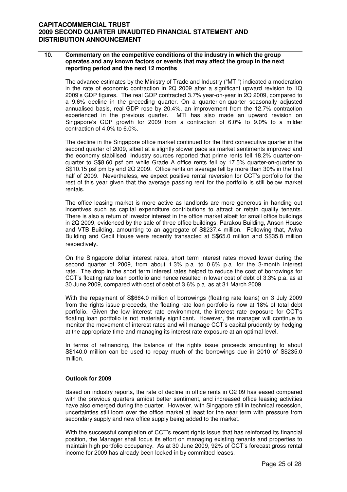#### **10. Commentary on the competitive conditions of the industry in which the group operates and any known factors or events that may affect the group in the next reporting period and the next 12 months**

The advance estimates by the Ministry of Trade and Industry ("MTI") indicated a moderation in the rate of economic contraction in 2Q 2009 after a significant upward revision to 1Q 2009's GDP figures. The real GDP contracted 3.7% year-on-year in 2Q 2009, compared to a 9.6% decline in the preceding quarter. On a quarter-on-quarter seasonally adjusted annualised basis, real GDP rose by 20.4%, an improvement from the 12.7% contraction experienced in the previous quarter. MTI has also made an upward revision on Singapore's GDP growth for 2009 from a contraction of 6.0% to 9.0% to a milder contraction of 4.0% to 6.0%.

The decline in the Singapore office market continued for the third consecutive quarter in the second quarter of 2009, albeit at a slightly slower pace as market sentiments improved and the economy stabilised. Industry sources reported that prime rents fell 18.2% quarter-onquarter to S\$8.60 psf pm while Grade A office rents fell by 17.5% quarter-on-quarter to S\$10.15 psf pm by end 2Q 2009. Office rents on average fell by more than 30% in the first half of 2009. Nevertheless, we expect positive rental reversion for CCT's portfolio for the rest of this year given that the average passing rent for the portfolio is still below market rentals.

The office leasing market is more active as landlords are more generous in handing out incentives such as capital expenditure contributions to attract or retain quality tenants. There is also a return of investor interest in the office market albeit for small office buildings in 2Q 2009, evidenced by the sale of three office buildings, Parakou Building, Anson House and VTB Building, amounting to an aggregate of S\$237.4 million. Following that, Aviva Building and Cecil House were recently transacted at S\$65.0 million and S\$35.8 million respectively.

On the Singapore dollar interest rates, short term interest rates moved lower during the second quarter of 2009, from about 1.3% p.a. to 0.6% p.a. for the 3-month interest rate. The drop in the short term interest rates helped to reduce the cost of borrowings for CCT's floating rate loan portfolio and hence resulted in lower cost of debt of 3.3% p.a. as at 30 June 2009, compared with cost of debt of 3.6% p.a. as at 31 March 2009.

With the repayment of S\$664.0 million of borrowings (floating rate loans) on 3 July 2009 from the rights issue proceeds, the floating rate loan portfolio is now at 18% of total debt portfolio. Given the low interest rate environment, the interest rate exposure for CCT's floating loan portfolio is not materially significant. However, the manager will continue to monitor the movement of interest rates and will manage CCT's capital prudently by hedging at the appropriate time and managing its interest rate exposure at an optimal level.

In terms of refinancing, the balance of the rights issue proceeds amounting to about S\$140.0 million can be used to repay much of the borrowings due in 2010 of S\$235.0 million.

### **Outlook for 2009**

Based on industry reports, the rate of decline in office rents in Q2 09 has eased compared with the previous quarters amidst better sentiment, and increased office leasing activities have also emerged during the quarter. However, with Singapore still in technical recession, uncertainties still loom over the office market at least for the near term with pressure from secondary supply and new office supply being added to the market.

With the successful completion of CCT's recent rights issue that has reinforced its financial position, the Manager shall focus its effort on managing existing tenants and properties to maintain high portfolio occupancy. As at 30 June 2009, 92% of CCT's forecast gross rental income for 2009 has already been locked-in by committed leases.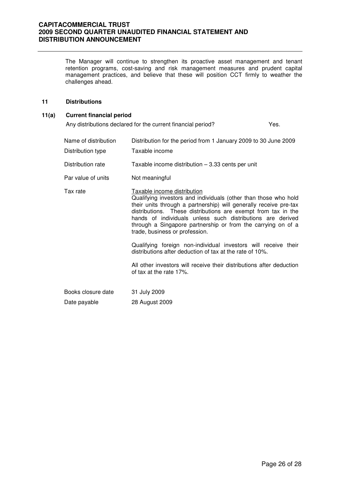The Manager will continue to strengthen its proactive asset management and tenant retention programs, cost-saving and risk management measures and prudent capital management practices, and believe that these will position CCT firmly to weather the challenges ahead.

#### **11 Distributions**

### **11(a) Current financial period**

Any distributions declared for the current financial period? Yes.

| Name of distribution<br>Distribution type | Distribution for the period from 1 January 2009 to 30 June 2009<br>Taxable income                                                                                                                                                                                                                                                                                                                    |
|-------------------------------------------|------------------------------------------------------------------------------------------------------------------------------------------------------------------------------------------------------------------------------------------------------------------------------------------------------------------------------------------------------------------------------------------------------|
| Distribution rate                         | Taxable income distribution $-3.33$ cents per unit                                                                                                                                                                                                                                                                                                                                                   |
| Par value of units                        | Not meaningful                                                                                                                                                                                                                                                                                                                                                                                       |
| Tax rate                                  | Taxable income distribution<br>Qualifying investors and individuals (other than those who hold<br>their units through a partnership) will generally receive pre-tax<br>distributions. These distributions are exempt from tax in the<br>hands of individuals unless such distributions are derived<br>through a Singapore partnership or from the carrying on of a<br>trade, business or profession. |
|                                           | Qualifying foreign non-individual investors will receive their<br>distributions after deduction of tax at the rate of 10%.                                                                                                                                                                                                                                                                           |
|                                           | All other investors will receive their distributions after deduction<br>of tax at the rate 17%.                                                                                                                                                                                                                                                                                                      |
| Books closure date                        | 31 July 2009                                                                                                                                                                                                                                                                                                                                                                                         |
| Date payable                              | 28 August 2009                                                                                                                                                                                                                                                                                                                                                                                       |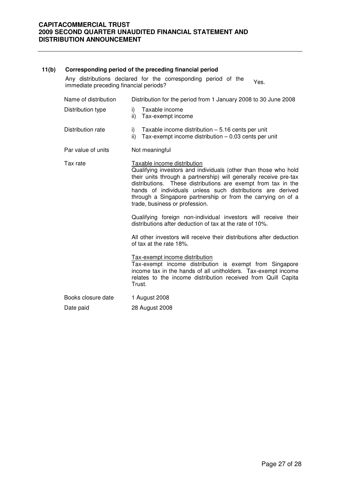| 11(b) | Corresponding period of the preceding financial period                                                           |                                                                                                                                                                                                                                                                                                                                                                                                      |  |  |  |
|-------|------------------------------------------------------------------------------------------------------------------|------------------------------------------------------------------------------------------------------------------------------------------------------------------------------------------------------------------------------------------------------------------------------------------------------------------------------------------------------------------------------------------------------|--|--|--|
|       | Any distributions declared for the corresponding period of the<br>Yes.<br>immediate preceding financial periods? |                                                                                                                                                                                                                                                                                                                                                                                                      |  |  |  |
|       | Name of distribution                                                                                             | Distribution for the period from 1 January 2008 to 30 June 2008                                                                                                                                                                                                                                                                                                                                      |  |  |  |
|       | Distribution type                                                                                                | Taxable income<br>i)<br>ii)<br>Tax-exempt income                                                                                                                                                                                                                                                                                                                                                     |  |  |  |
|       | Distribution rate                                                                                                | Taxable income distribution $-5.16$ cents per unit<br>i)<br>ii)<br>Tax-exempt income distribution $-0.03$ cents per unit                                                                                                                                                                                                                                                                             |  |  |  |
|       | Par value of units                                                                                               | Not meaningful                                                                                                                                                                                                                                                                                                                                                                                       |  |  |  |
|       | Tax rate                                                                                                         | Taxable income distribution<br>Qualifying investors and individuals (other than those who hold<br>their units through a partnership) will generally receive pre-tax<br>distributions. These distributions are exempt from tax in the<br>hands of individuals unless such distributions are derived<br>through a Singapore partnership or from the carrying on of a<br>trade, business or profession. |  |  |  |
|       |                                                                                                                  | Qualifying foreign non-individual investors will receive their<br>distributions after deduction of tax at the rate of 10%.                                                                                                                                                                                                                                                                           |  |  |  |
|       |                                                                                                                  | All other investors will receive their distributions after deduction<br>of tax at the rate 18%.                                                                                                                                                                                                                                                                                                      |  |  |  |
|       |                                                                                                                  | Tax-exempt income distribution<br>Tax-exempt income distribution is exempt from Singapore<br>income tax in the hands of all unitholders. Tax-exempt income<br>relates to the income distribution received from Quill Capita<br>Trust.                                                                                                                                                                |  |  |  |
|       | Books closure date                                                                                               | 1 August 2008                                                                                                                                                                                                                                                                                                                                                                                        |  |  |  |
|       | Date paid                                                                                                        | 28 August 2008                                                                                                                                                                                                                                                                                                                                                                                       |  |  |  |